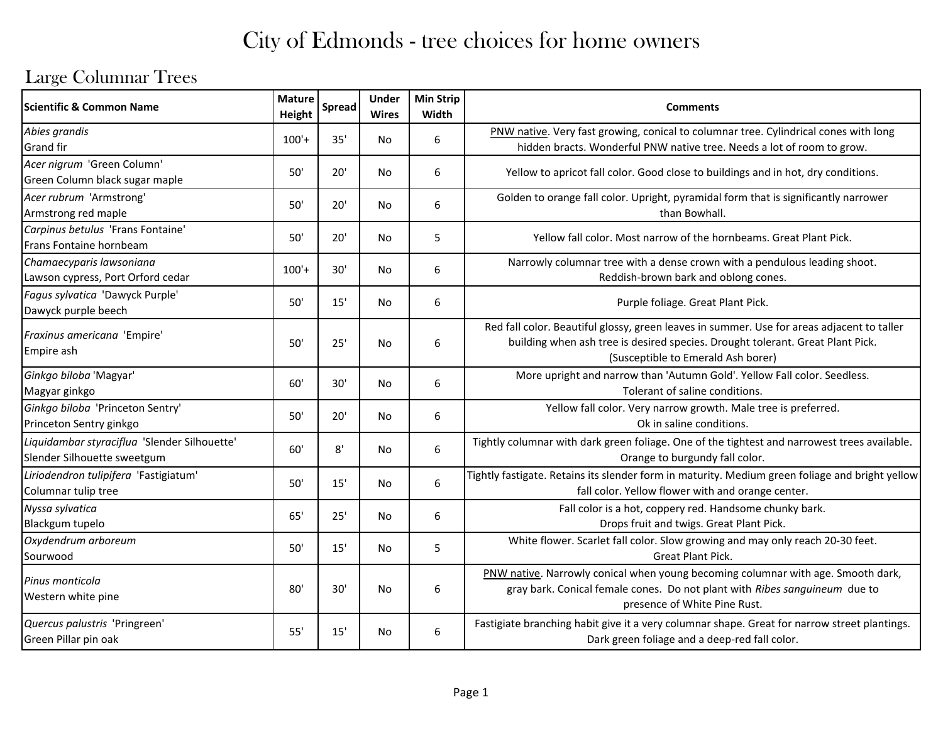### Large Columnar Trees

| <b>Scientific &amp; Common Name</b>                                         | <b>Mature</b><br>Height | <b>Spread</b> | <b>Under</b><br><b>Wires</b> | <b>Min Strip</b><br>Width | <b>Comments</b>                                                                                                                                                                                                    |
|-----------------------------------------------------------------------------|-------------------------|---------------|------------------------------|---------------------------|--------------------------------------------------------------------------------------------------------------------------------------------------------------------------------------------------------------------|
| Abies grandis<br><b>Grand fir</b>                                           | $100'+$                 | 35'           | No                           | 6                         | PNW native. Very fast growing, conical to columnar tree. Cylindrical cones with long<br>hidden bracts. Wonderful PNW native tree. Needs a lot of room to grow.                                                     |
| Acer nigrum 'Green Column'<br>Green Column black sugar maple                | 50'                     | 20'           | <b>No</b>                    | 6                         | Yellow to apricot fall color. Good close to buildings and in hot, dry conditions.                                                                                                                                  |
| Acer rubrum 'Armstrong'<br>Armstrong red maple                              | 50'                     | 20'           | No                           | 6                         | Golden to orange fall color. Upright, pyramidal form that is significantly narrower<br>than Bowhall.                                                                                                               |
| Carpinus betulus 'Frans Fontaine'<br>Frans Fontaine hornbeam                | 50'                     | 20'           | <b>No</b>                    | 5                         | Yellow fall color. Most narrow of the hornbeams. Great Plant Pick.                                                                                                                                                 |
| Chamaecyparis lawsoniana<br>Lawson cypress, Port Orford cedar               | $100'+$                 | 30'           | No                           | 6                         | Narrowly columnar tree with a dense crown with a pendulous leading shoot.<br>Reddish-brown bark and oblong cones.                                                                                                  |
| Fagus sylvatica 'Dawyck Purple'<br>Dawyck purple beech                      | 50'                     | 15'           | <b>No</b>                    | 6                         | Purple foliage. Great Plant Pick.                                                                                                                                                                                  |
| Fraxinus americana 'Empire'<br>Empire ash                                   | 50'                     | 25'           | No                           | 6                         | Red fall color. Beautiful glossy, green leaves in summer. Use for areas adjacent to taller<br>building when ash tree is desired species. Drought tolerant. Great Plant Pick.<br>(Susceptible to Emerald Ash borer) |
| Ginkgo biloba 'Magyar'<br>Magyar ginkgo                                     | 60'                     | 30'           | <b>No</b>                    | 6                         | More upright and narrow than 'Autumn Gold'. Yellow Fall color. Seedless.<br>Tolerant of saline conditions.                                                                                                         |
| Ginkgo biloba 'Princeton Sentry'<br>Princeton Sentry ginkgo                 | 50'                     | 20'           | No                           | 6                         | Yellow fall color. Very narrow growth. Male tree is preferred.<br>Ok in saline conditions.                                                                                                                         |
| Liquidambar styraciflua 'Slender Silhouette'<br>Slender Silhouette sweetgum | 60'                     | 8'            | <b>No</b>                    | 6                         | Tightly columnar with dark green foliage. One of the tightest and narrowest trees available.<br>Orange to burgundy fall color.                                                                                     |
| Liriodendron tulipifera 'Fastigiatum'<br>Columnar tulip tree                | 50'                     | 15'           | No                           | 6                         | Tightly fastigate. Retains its slender form in maturity. Medium green foliage and bright yellow<br>fall color. Yellow flower with and orange center.                                                               |
| Nyssa sylvatica<br>Blackgum tupelo                                          | 65'                     | 25'           | No                           | 6                         | Fall color is a hot, coppery red. Handsome chunky bark.<br>Drops fruit and twigs. Great Plant Pick.                                                                                                                |
| Oxydendrum arboreum<br>Sourwood                                             | 50'                     | 15'           | No                           | 5                         | White flower. Scarlet fall color. Slow growing and may only reach 20-30 feet.<br>Great Plant Pick.                                                                                                                 |
| Pinus monticola<br>Western white pine                                       | 80'                     | 30'           | <b>No</b>                    | 6                         | PNW native. Narrowly conical when young becoming columnar with age. Smooth dark,<br>gray bark. Conical female cones. Do not plant with Ribes sanguineum due to<br>presence of White Pine Rust.                     |
| Quercus palustris 'Pringreen'<br>Green Pillar pin oak                       | 55'                     | 15'           | No                           | 6                         | Fastigiate branching habit give it a very columnar shape. Great for narrow street plantings.<br>Dark green foliage and a deep-red fall color.                                                                      |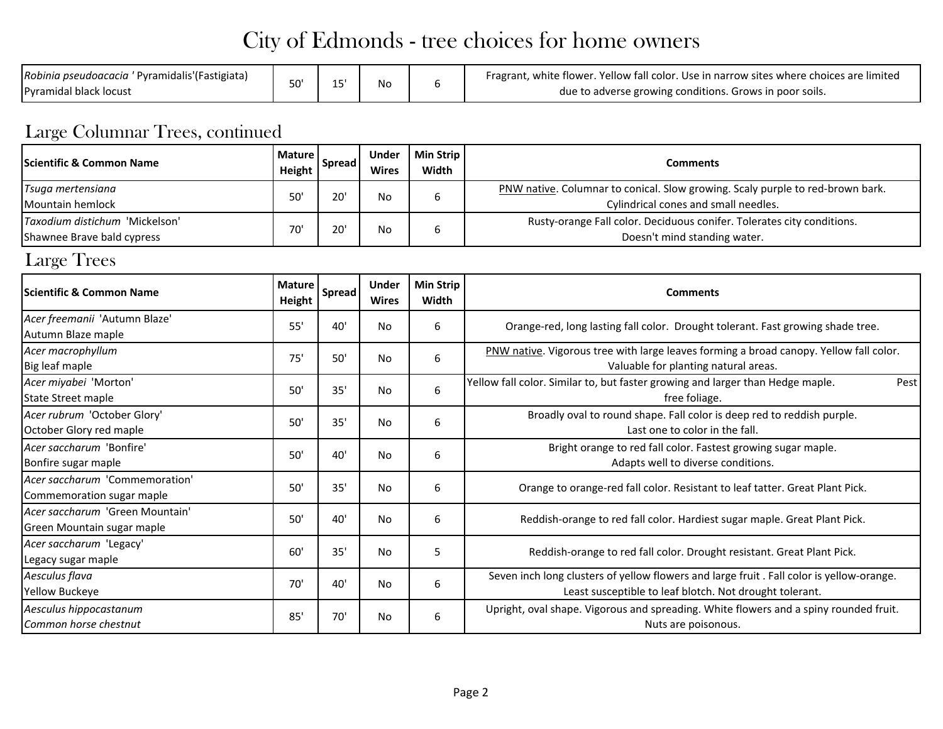| Robinia pseudoacacia ' Pyramidalis' (Fastigiata)<br>1 F<br>No<br><b>IPyramidal black locust</b> | Fragrant, white flower. Yellow fall color. Use in narrow sites where choices are limited<br>due to adverse growing conditions. Grows in poor soils. |
|-------------------------------------------------------------------------------------------------|-----------------------------------------------------------------------------------------------------------------------------------------------------|
|-------------------------------------------------------------------------------------------------|-----------------------------------------------------------------------------------------------------------------------------------------------------|

#### Large Columnar Trees, continued

| <b>Scientific &amp; Common Name</b>                         | <b>Mature</b><br>Height | <b>Spread</b> | <b>Under</b><br><b>Wires</b> | <b>Min Strip</b><br>Width | <b>Comments</b>                                                                                                                                      |  |  |  |  |  |  |
|-------------------------------------------------------------|-------------------------|---------------|------------------------------|---------------------------|------------------------------------------------------------------------------------------------------------------------------------------------------|--|--|--|--|--|--|
| Tsuga mertensiana                                           | 50'                     | 20'           | No                           | 6                         | PNW native. Columnar to conical. Slow growing. Scaly purple to red-brown bark.                                                                       |  |  |  |  |  |  |
| Mountain hemlock                                            |                         |               |                              |                           | Cylindrical cones and small needles.                                                                                                                 |  |  |  |  |  |  |
| Taxodium distichum 'Mickelson'                              | 70'                     | 20'           | No                           | 6                         | Rusty-orange Fall color. Deciduous conifer. Tolerates city conditions.                                                                               |  |  |  |  |  |  |
| Shawnee Brave bald cypress                                  |                         |               |                              |                           | Doesn't mind standing water.                                                                                                                         |  |  |  |  |  |  |
| Large Trees                                                 |                         |               |                              |                           |                                                                                                                                                      |  |  |  |  |  |  |
| Scientific & Common Name                                    | <b>Mature</b><br>Height | <b>Spread</b> | <b>Under</b><br><b>Wires</b> | <b>Min Strip</b><br>Width | <b>Comments</b>                                                                                                                                      |  |  |  |  |  |  |
| Acer freemanii 'Autumn Blaze'<br>Autumn Blaze maple         | 55'                     | 40'           | No                           | 6                         | Orange-red, long lasting fall color. Drought tolerant. Fast growing shade tree.                                                                      |  |  |  |  |  |  |
| Acer macrophyllum                                           | 75'                     | 50'           | <b>No</b>                    | 6                         | PNW native. Vigorous tree with large leaves forming a broad canopy. Yellow fall color.                                                               |  |  |  |  |  |  |
| Big leaf maple                                              |                         |               |                              |                           | Valuable for planting natural areas.                                                                                                                 |  |  |  |  |  |  |
| Acer miyabei 'Morton'                                       | 50'                     | 35'           | No                           | 6                         | Yellow fall color. Similar to, but faster growing and larger than Hedge maple.<br>Pest                                                               |  |  |  |  |  |  |
| State Street maple                                          |                         |               |                              |                           | free foliage.                                                                                                                                        |  |  |  |  |  |  |
| Acer rubrum 'October Glory'                                 | 50'                     | 35'           | No                           | 6                         | Broadly oval to round shape. Fall color is deep red to reddish purple.<br>Last one to color in the fall.                                             |  |  |  |  |  |  |
| October Glory red maple                                     |                         |               |                              |                           |                                                                                                                                                      |  |  |  |  |  |  |
| Acer saccharum 'Bonfire'                                    | 50'                     | 40'           | No                           | 6                         | Bright orange to red fall color. Fastest growing sugar maple.                                                                                        |  |  |  |  |  |  |
| Bonfire sugar maple                                         |                         |               |                              |                           | Adapts well to diverse conditions.                                                                                                                   |  |  |  |  |  |  |
| Acer saccharum 'Commemoration'<br>Commemoration sugar maple | 50'                     | 35'           | No                           | 6                         | Orange to orange-red fall color. Resistant to leaf tatter. Great Plant Pick.                                                                         |  |  |  |  |  |  |
| Acer saccharum 'Green Mountain'                             | 50'                     | 40'           | No                           | 6                         | Reddish-orange to red fall color. Hardiest sugar maple. Great Plant Pick.                                                                            |  |  |  |  |  |  |
| Green Mountain sugar maple                                  |                         |               |                              |                           |                                                                                                                                                      |  |  |  |  |  |  |
| Acer saccharum 'Legacy'                                     | 60'                     | 35'           | <b>No</b>                    | 5                         | Reddish-orange to red fall color. Drought resistant. Great Plant Pick.                                                                               |  |  |  |  |  |  |
| Legacy sugar maple                                          |                         |               |                              |                           |                                                                                                                                                      |  |  |  |  |  |  |
| Aesculus flava<br><b>Yellow Buckeye</b>                     | 70'                     | 40'           | No                           | 6                         | Seven inch long clusters of yellow flowers and large fruit . Fall color is yellow-orange.<br>Least susceptible to leaf blotch. Not drought tolerant. |  |  |  |  |  |  |
| Aesculus hippocastanum<br>Common horse chestnut             | 85'                     | 70'           | No                           | 6                         | Upright, oval shape. Vigorous and spreading. White flowers and a spiny rounded fruit.<br>Nuts are poisonous.                                         |  |  |  |  |  |  |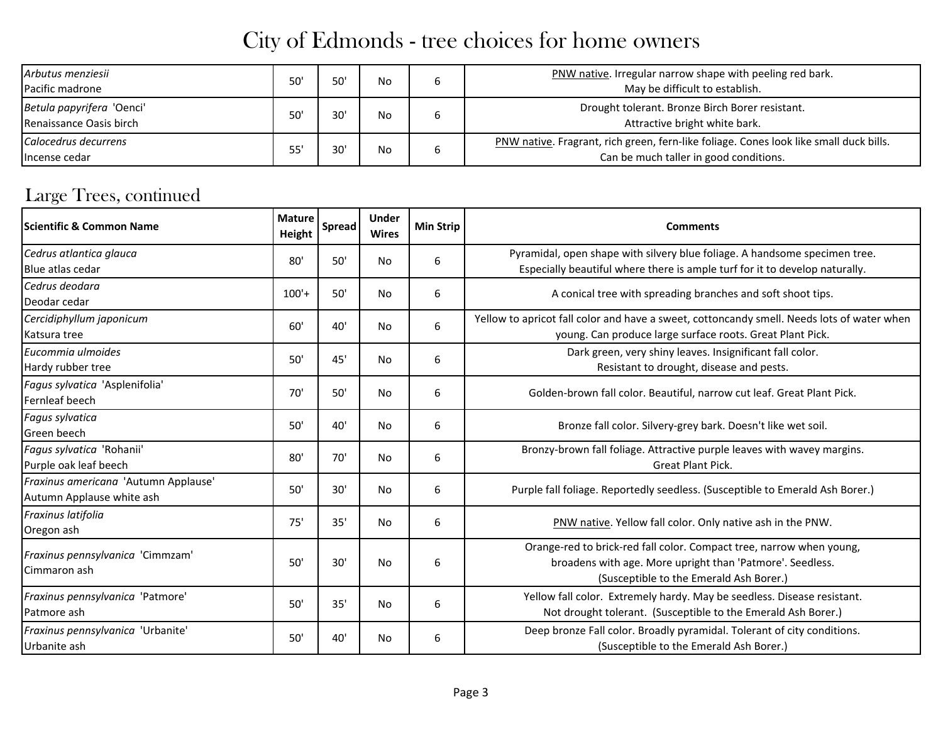| Arbutus menziesii<br>Pacific madrone                 | 50' | 50' | No.       | ס | PNW native. Irregular narrow shape with peeling red bark.<br>May be difficult to establish.                                      |
|------------------------------------------------------|-----|-----|-----------|---|----------------------------------------------------------------------------------------------------------------------------------|
| Betula papyrifera 'Oenci'<br>Renaissance Oasis birch | 50' | 30' | No.       | ь | Drought tolerant. Bronze Birch Borer resistant.<br>Attractive bright white bark.                                                 |
| Calocedrus decurrens<br>Incense cedar                | 55' | 30' | <b>No</b> | ס | PNW native. Fragrant, rich green, fern-like foliage. Cones look like small duck bills.<br>Can be much taller in good conditions. |

#### Large Trees, continued

| <b>Scientific &amp; Common Name</b>                               | <b>Mature</b><br>Height | Spread | <b>Under</b><br><b>Wires</b> | <b>Min Strip</b> | <b>Comments</b>                                                                                                                                                              |
|-------------------------------------------------------------------|-------------------------|--------|------------------------------|------------------|------------------------------------------------------------------------------------------------------------------------------------------------------------------------------|
| Cedrus atlantica glauca<br>Blue atlas cedar                       | 80'                     | 50'    | No.                          | 6                | Pyramidal, open shape with silvery blue foliage. A handsome specimen tree.<br>Especially beautiful where there is ample turf for it to develop naturally.                    |
| Cedrus deodara<br>Deodar cedar                                    | $100'+$                 | 50'    | No                           | 6                | A conical tree with spreading branches and soft shoot tips.                                                                                                                  |
| Cercidiphyllum japonicum<br>Katsura tree                          | 60'                     | 40'    | No                           | 6                | Yellow to apricot fall color and have a sweet, cottoncandy smell. Needs lots of water when<br>young. Can produce large surface roots. Great Plant Pick.                      |
| Eucommia ulmoides<br>Hardy rubber tree                            | 50'                     | 45'    | No                           | 6                | Dark green, very shiny leaves. Insignificant fall color.<br>Resistant to drought, disease and pests.                                                                         |
| Fagus sylvatica 'Asplenifolia'<br>Fernleaf beech                  | 70'                     | 50'    | No                           | 6                | Golden-brown fall color. Beautiful, narrow cut leaf. Great Plant Pick.                                                                                                       |
| Fagus sylvatica<br>Green beech                                    | 50'                     | 40'    | No                           | 6                | Bronze fall color. Silvery-grey bark. Doesn't like wet soil.                                                                                                                 |
| Fagus sylvatica 'Rohanii'<br>Purple oak leaf beech                | 80'                     | 70'    | No                           | 6                | Bronzy-brown fall foliage. Attractive purple leaves with wavey margins.<br><b>Great Plant Pick.</b>                                                                          |
| Fraxinus americana 'Autumn Applause'<br>Autumn Applause white ash | 50'                     | 30'    | No                           | 6                | Purple fall foliage. Reportedly seedless. (Susceptible to Emerald Ash Borer.)                                                                                                |
| Fraxinus latifolia<br>Oregon ash                                  | 75'                     | 35'    | No                           | 6                | PNW native. Yellow fall color. Only native ash in the PNW.                                                                                                                   |
| Fraxinus pennsylvanica 'Cimmzam'<br>Cimmaron ash                  | 50'                     | 30'    | No                           | 6                | Orange-red to brick-red fall color. Compact tree, narrow when young,<br>broadens with age. More upright than 'Patmore'. Seedless.<br>(Susceptible to the Emerald Ash Borer.) |
| Fraxinus pennsylvanica 'Patmore'<br>Patmore ash                   | 50'                     | 35'    | No                           | 6                | Yellow fall color. Extremely hardy. May be seedless. Disease resistant.<br>Not drought tolerant. (Susceptible to the Emerald Ash Borer.)                                     |
| Fraxinus pennsylvanica 'Urbanite'<br>Urbanite ash                 | 50'                     | 40'    | No                           | 6                | Deep bronze Fall color. Broadly pyramidal. Tolerant of city conditions.<br>(Susceptible to the Emerald Ash Borer.)                                                           |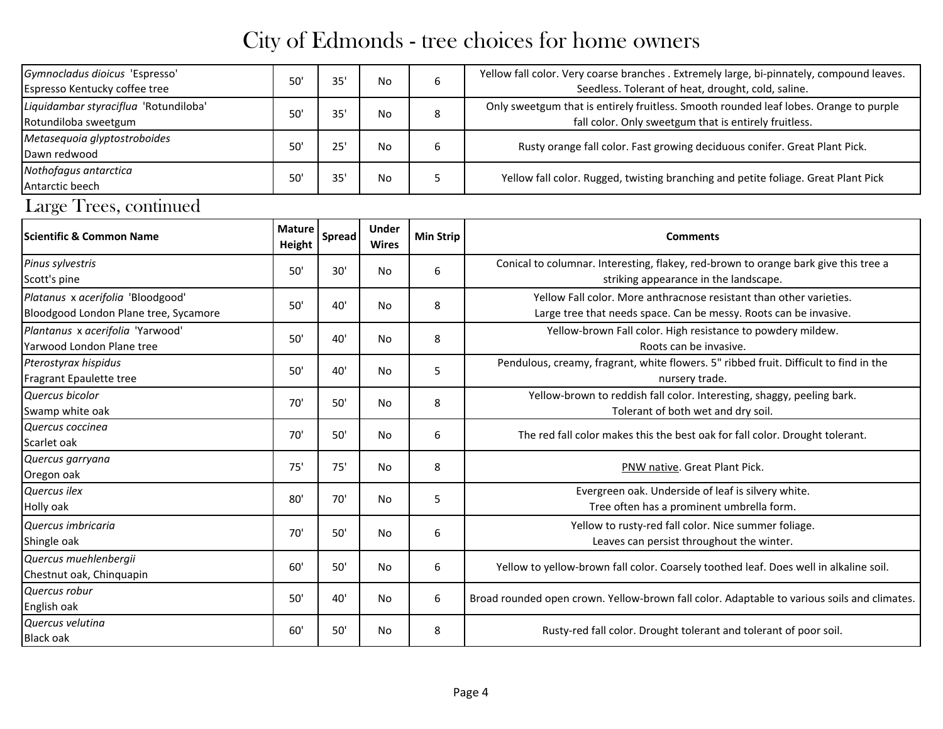| Gymnocladus dioicus 'Espresso'<br>Espresso Kentucky coffee tree            | 50'                     | 35'           | No                           | 6                | Yellow fall color. Very coarse branches . Extremely large, bi-pinnately, compound leaves.<br>Seedless. Tolerant of heat, drought, cold, saline. |  |  |  |  |  |  |
|----------------------------------------------------------------------------|-------------------------|---------------|------------------------------|------------------|-------------------------------------------------------------------------------------------------------------------------------------------------|--|--|--|--|--|--|
| Liquidambar styraciflua 'Rotundiloba'<br>Rotundiloba sweetgum              | 50'                     | 35'           | No                           | 8                | Only sweetgum that is entirely fruitless. Smooth rounded leaf lobes. Orange to purple<br>fall color. Only sweetgum that is entirely fruitless.  |  |  |  |  |  |  |
| Metasequoia glyptostroboides<br>Dawn redwood                               | 50'                     | 25'           | No                           | 6                | Rusty orange fall color. Fast growing deciduous conifer. Great Plant Pick.                                                                      |  |  |  |  |  |  |
| Nothofagus antarctica<br>Antarctic beech                                   | 50'                     | 35'           | No                           | 5                | Yellow fall color. Rugged, twisting branching and petite foliage. Great Plant Pick                                                              |  |  |  |  |  |  |
| Large Trees, continued                                                     |                         |               |                              |                  |                                                                                                                                                 |  |  |  |  |  |  |
| Scientific & Common Name                                                   | <b>Mature</b><br>Height | <b>Spread</b> | <b>Under</b><br><b>Wires</b> | <b>Min Strip</b> | <b>Comments</b>                                                                                                                                 |  |  |  |  |  |  |
| Pinus sylvestris<br>Scott's pine                                           | 50'                     | 30'           | No                           | 6                | Conical to columnar. Interesting, flakey, red-brown to orange bark give this tree a<br>striking appearance in the landscape.                    |  |  |  |  |  |  |
| Platanus x acerifolia 'Bloodgood'<br>Bloodgood London Plane tree, Sycamore | 50'                     | 40'           | No                           | 8                | Yellow Fall color. More anthracnose resistant than other varieties.<br>Large tree that needs space. Can be messy. Roots can be invasive.        |  |  |  |  |  |  |
| Plantanus x acerifolia 'Yarwood'<br>Yarwood London Plane tree              | 50'                     | 40'           | No                           | 8                | Yellow-brown Fall color. High resistance to powdery mildew.<br>Roots can be invasive.                                                           |  |  |  |  |  |  |
| Pterostyrax hispidus<br>Fragrant Epaulette tree                            | 50'                     | 40'           | No                           | 5                | Pendulous, creamy, fragrant, white flowers. 5" ribbed fruit. Difficult to find in the<br>nursery trade.                                         |  |  |  |  |  |  |
| Quercus bicolor<br>Swamp white oak                                         | 70'                     | $50'$         | No                           | 8                | Yellow-brown to reddish fall color. Interesting, shaggy, peeling bark.<br>Tolerant of both wet and dry soil.                                    |  |  |  |  |  |  |
| Quercus coccinea<br>Scarlet oak                                            | 70'                     | 50'           | No                           | 6                | The red fall color makes this the best oak for fall color. Drought tolerant.                                                                    |  |  |  |  |  |  |
| Quercus garryana<br>Oregon oak                                             | 75'                     | 75'           | No                           | 8                | PNW native. Great Plant Pick.                                                                                                                   |  |  |  |  |  |  |
| Quercus ilex<br>Holly oak                                                  | 80'                     | 70'           | No                           | 5                | Evergreen oak. Underside of leaf is silvery white.<br>Tree often has a prominent umbrella form.                                                 |  |  |  |  |  |  |
| Quercus imbricaria<br>Shingle oak                                          | 70'                     | 50'           | No                           | 6                | Yellow to rusty-red fall color. Nice summer foliage.<br>Leaves can persist throughout the winter.                                               |  |  |  |  |  |  |
| Quercus muehlenbergii<br>Chestnut oak, Chinquapin                          | 60'                     | $50'$         | No                           | 6                | Yellow to yellow-brown fall color. Coarsely toothed leaf. Does well in alkaline soil.                                                           |  |  |  |  |  |  |
| Quercus robur<br>English oak                                               | 50'                     | 40'           | No                           | $\boldsymbol{6}$ | Broad rounded open crown. Yellow-brown fall color. Adaptable to various soils and climates.                                                     |  |  |  |  |  |  |
| Quercus velutina<br><b>Black oak</b>                                       | 60'                     | $50'$         | No                           | 8                | Rusty-red fall color. Drought tolerant and tolerant of poor soil.                                                                               |  |  |  |  |  |  |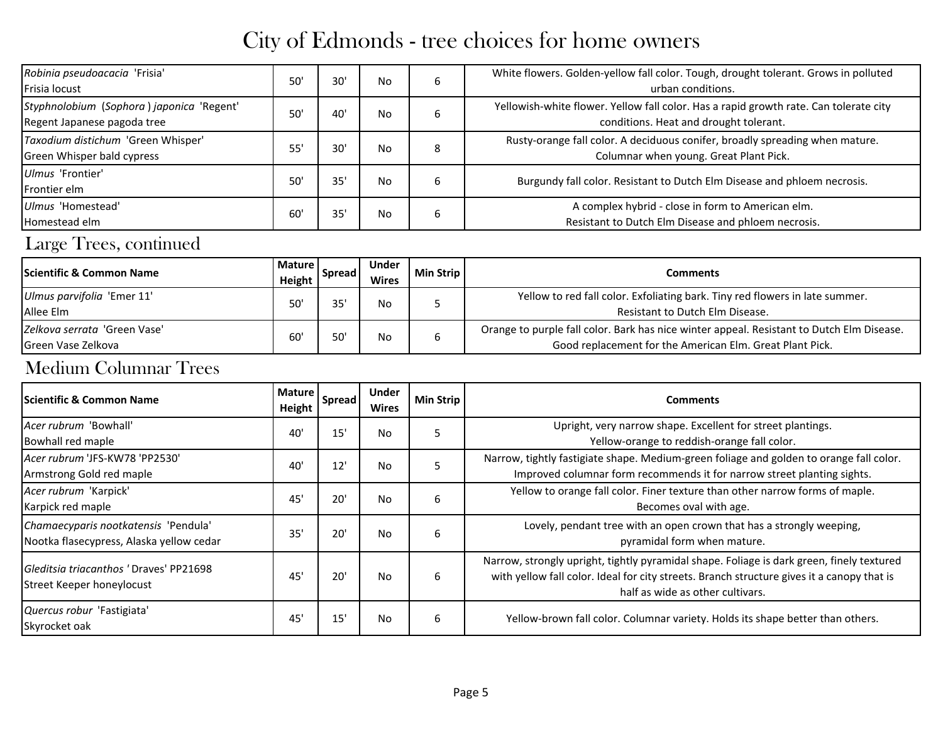| Robinia pseudoacacia 'Frisia'<br>Frisia locust                           | 50 | 30' | No | 6 | White flowers. Golden-yellow fall color. Tough, drought tolerant. Grows in polluted<br>urban conditions.                        |
|--------------------------------------------------------------------------|----|-----|----|---|---------------------------------------------------------------------------------------------------------------------------------|
| Styphnolobium (Sophora) japonica 'Regent'<br>Regent Japanese pagoda tree | 50 | 40  | No | b | Yellowish-white flower. Yellow fall color. Has a rapid growth rate. Can tolerate city<br>conditions. Heat and drought tolerant. |
| Taxodium distichum 'Green Whisper'<br>Green Whisper bald cypress         | 55 | 30' | No | 8 | Rusty-orange fall color. A deciduous conifer, broadly spreading when mature.<br>Columnar when young. Great Plant Pick.          |
| Ulmus 'Frontier'<br>Frontier elm                                         | 50 | 35' | No | 6 | Burgundy fall color. Resistant to Dutch Elm Disease and phloem necrosis.                                                        |
| Ulmus 'Homestead'<br>Homestead elm                                       | 60 | 35' | No | 6 | A complex hybrid - close in form to American elm.<br>Resistant to Dutch Elm Disease and phloem necrosis.                        |

#### Large Trees, continued

| <b>Scientific &amp; Common Name</b>                | Mature I<br>Height | <b>Spread</b> | Under<br><b>Wires</b> | <b>Min Strip</b> | <b>Comments</b>                                                                                                                                       |
|----------------------------------------------------|--------------------|---------------|-----------------------|------------------|-------------------------------------------------------------------------------------------------------------------------------------------------------|
| Ulmus parvifolia 'Emer 11'<br>Allee Elm            | 50'                | 35'           | No                    |                  | Yellow to red fall color. Exfoliating bark. Tiny red flowers in late summer.<br>Resistant to Dutch Elm Disease.                                       |
| Zelkova serrata 'Green Vase'<br>Green Vase Zelkova | 60'                | 50'           | No                    | ь                | Orange to purple fall color. Bark has nice winter appeal. Resistant to Dutch Elm Disease.<br>Good replacement for the American Elm. Great Plant Pick. |

#### Medium Columnar Trees

| <b>IScientific &amp; Common Name</b>                                             | <b>Mature</b><br>Height | <b>Spread</b> | <b>Under</b><br><b>Wires</b> | <b>Min Strip</b> | <b>Comments</b>                                                                                                                                                                                                             |
|----------------------------------------------------------------------------------|-------------------------|---------------|------------------------------|------------------|-----------------------------------------------------------------------------------------------------------------------------------------------------------------------------------------------------------------------------|
| Acer rubrum 'Bowhall'<br>Bowhall red maple                                       | 40                      | 15'           | No                           | 5                | Upright, very narrow shape. Excellent for street plantings.<br>Yellow-orange to reddish-orange fall color.                                                                                                                  |
| Acer rubrum 'JFS-KW78 'PP2530'<br>Armstrong Gold red maple                       | 40                      | 12'           | No                           | 5                | Narrow, tightly fastigiate shape. Medium-green foliage and golden to orange fall color.<br>Improved columnar form recommends it for narrow street planting sights.                                                          |
| Acer rubrum 'Karpick'<br>Karpick red maple                                       | 45                      | 20'           | <b>No</b>                    | 6                | Yellow to orange fall color. Finer texture than other narrow forms of maple.<br>Becomes oval with age.                                                                                                                      |
| Chamaecyparis nootkatensis 'Pendula'<br>Nootka flasecypress, Alaska yellow cedar | 35                      | 20'           | <b>No</b>                    | 6                | Lovely, pendant tree with an open crown that has a strongly weeping,<br>pyramidal form when mature.                                                                                                                         |
| Gleditsia triacanthos 'Draves' PP21698<br>Street Keeper honeylocust              | 45                      | 20'           | <b>No</b>                    | 6                | Narrow, strongly upright, tightly pyramidal shape. Foliage is dark green, finely textured<br>with yellow fall color. Ideal for city streets. Branch structure gives it a canopy that is<br>half as wide as other cultivars. |
| Quercus robur 'Fastigiata'<br>Skyrocket oak                                      | 45                      | 15'           | No                           | 6                | Yellow-brown fall color. Columnar variety. Holds its shape better than others.                                                                                                                                              |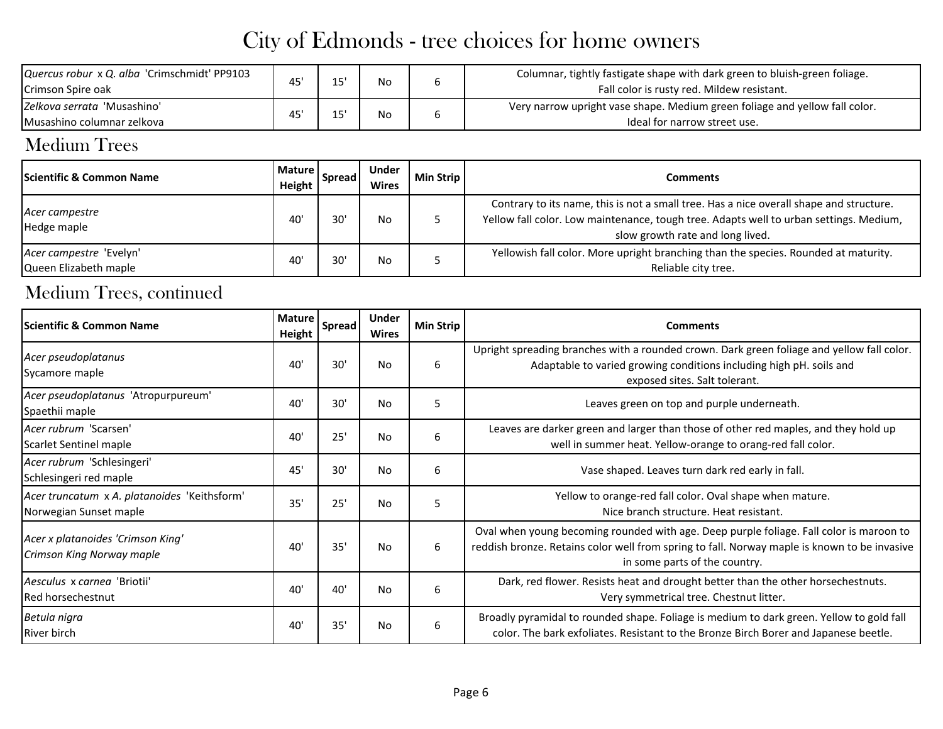| Quercus robur x Q. alba 'Crimschmidt' PP9103<br>Crimson Spire oak | 45 | 1 F   | No | Columnar, tightly fastigate shape with dark green to bluish-green foliage.<br>Fall color is rusty red. Mildew resistant. |
|-------------------------------------------------------------------|----|-------|----|--------------------------------------------------------------------------------------------------------------------------|
| Zelkova serrata 'Musashino'<br>Musashino columnar zelkova         | 45 | 1 E I | No | Very narrow upright vase shape. Medium green foliage and yellow fall color.<br>Ideal for narrow street use.              |

#### Medium Trees

| <b>Scientific &amp; Common Name</b>              | Mature I<br>Height | Spread | <b>Under</b><br><b>Wires</b> | <b>Min Strip</b> | Comments                                                                                                                                                                                                              |
|--------------------------------------------------|--------------------|--------|------------------------------|------------------|-----------------------------------------------------------------------------------------------------------------------------------------------------------------------------------------------------------------------|
| Acer campestre<br>Hedge maple                    | 40                 | 30'    | <b>No</b>                    |                  | Contrary to its name, this is not a small tree. Has a nice overall shape and structure.<br>Yellow fall color. Low maintenance, tough tree. Adapts well to urban settings. Medium,<br>slow growth rate and long lived. |
| Acer campestre 'Evelyn'<br>Queen Elizabeth maple | 40                 | 30'    | <b>No</b>                    |                  | Yellowish fall color. More upright branching than the species. Rounded at maturity.<br>Reliable city tree.                                                                                                            |

#### Medium Trees, continued

| lScientific & Common Name                                              | <b>Mature</b><br>Height | <b>Spread</b> | <b>Under</b><br><b>Wires</b> | Min Strip | <b>Comments</b>                                                                                                                                                                                                          |
|------------------------------------------------------------------------|-------------------------|---------------|------------------------------|-----------|--------------------------------------------------------------------------------------------------------------------------------------------------------------------------------------------------------------------------|
| Acer pseudoplatanus<br>Sycamore maple                                  | 40'                     | 30'           | No                           | 6         | Upright spreading branches with a rounded crown. Dark green foliage and yellow fall color.<br>Adaptable to varied growing conditions including high pH. soils and<br>exposed sites. Salt tolerant.                       |
| Acer pseudoplatanus 'Atropurpureum'<br>Spaethii maple                  | 40'                     | 30'           | <b>No</b>                    | 5         | Leaves green on top and purple underneath.                                                                                                                                                                               |
| Acer rubrum 'Scarsen'<br>Scarlet Sentinel maple                        | 40'                     | 25'           | <b>No</b>                    | 6         | Leaves are darker green and larger than those of other red maples, and they hold up<br>well in summer heat. Yellow-orange to orang-red fall color.                                                                       |
| Acer rubrum 'Schlesingeri'<br>Schlesingeri red maple                   | 45'                     | 30'           | <b>No</b>                    | 6         | Vase shaped. Leaves turn dark red early in fall.                                                                                                                                                                         |
| Acer truncatum x A. platanoides 'Keithsform'<br>Norwegian Sunset maple | 35'                     | 25'           | <b>No</b>                    | 5         | Yellow to orange-red fall color. Oval shape when mature.<br>Nice branch structure. Heat resistant.                                                                                                                       |
| Acer x platanoides 'Crimson King'<br>Crimson King Norway maple         | 40'                     | 35'           | <b>No</b>                    | 6         | Oval when young becoming rounded with age. Deep purple foliage. Fall color is maroon to<br>reddish bronze. Retains color well from spring to fall. Norway maple is known to be invasive<br>in some parts of the country. |
| Aesculus x carnea 'Briotii'<br>Red horsechestnut                       | 40'                     | 40'           | No                           | 6         | Dark, red flower. Resists heat and drought better than the other horsechestnuts.<br>Very symmetrical tree. Chestnut litter.                                                                                              |
| Betula nigra<br><b>River birch</b>                                     | 40'                     | 35'           | <b>No</b>                    | 6         | Broadly pyramidal to rounded shape. Foliage is medium to dark green. Yellow to gold fall<br>color. The bark exfoliates. Resistant to the Bronze Birch Borer and Japanese beetle.                                         |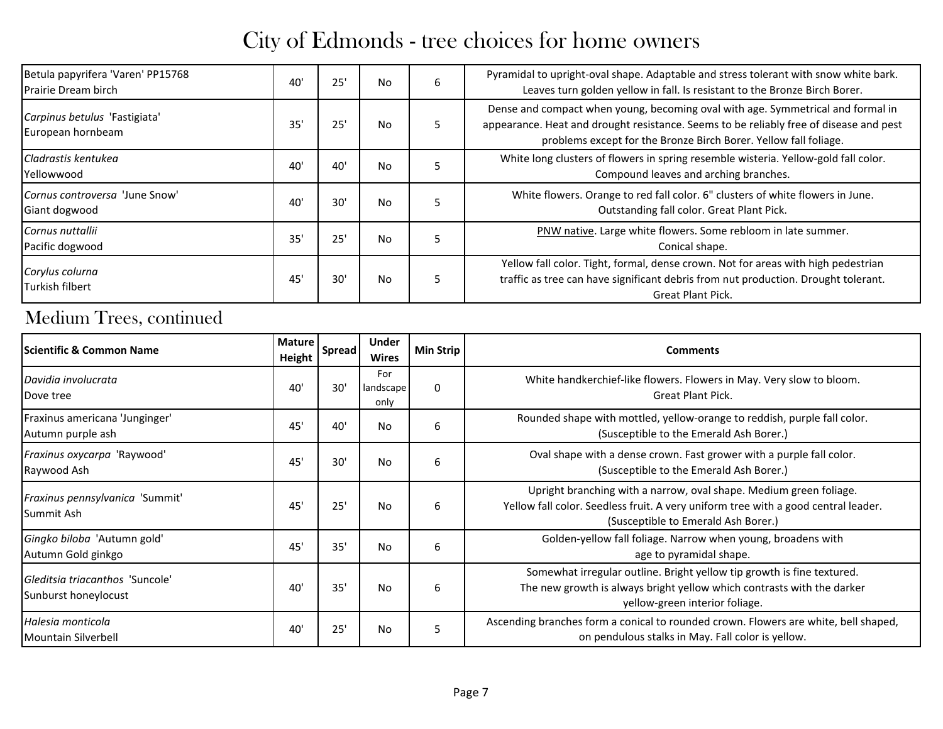| Betula papyrifera 'Varen' PP15768<br><b>Prairie Dream birch</b> | 40  | 25' | <b>No</b> | 6 | Pyramidal to upright-oval shape. Adaptable and stress tolerant with snow white bark.<br>Leaves turn golden yellow in fall. Is resistant to the Bronze Birch Borer.                                                                            |
|-----------------------------------------------------------------|-----|-----|-----------|---|-----------------------------------------------------------------------------------------------------------------------------------------------------------------------------------------------------------------------------------------------|
| Carpinus betulus 'Fastigiata'<br>European hornbeam              | 35' | 25' | <b>No</b> | 5 | Dense and compact when young, becoming oval with age. Symmetrical and formal in<br>appearance. Heat and drought resistance. Seems to be reliably free of disease and pest<br>problems except for the Bronze Birch Borer. Yellow fall foliage. |
| Cladrastis kentukea<br>Yellowwood                               | 40  | 40' | <b>No</b> | 5 | White long clusters of flowers in spring resemble wisteria. Yellow-gold fall color.<br>Compound leaves and arching branches.                                                                                                                  |
| Cornus controversa 'June Snow'<br>Giant dogwood                 | 40  | 30' | <b>No</b> |   | White flowers. Orange to red fall color. 6" clusters of white flowers in June.<br>Outstanding fall color. Great Plant Pick.                                                                                                                   |
| Cornus nuttallii<br>Pacific dogwood                             | 35  | 25' | <b>No</b> | 5 | PNW native. Large white flowers. Some rebloom in late summer.<br>Conical shape.                                                                                                                                                               |
| Corylus colurna<br>Turkish filbert                              | 45' | 30' | No        | 5 | Yellow fall color. Tight, formal, dense crown. Not for areas with high pedestrian<br>traffic as tree can have significant debris from nut production. Drought tolerant.<br>Great Plant Pick.                                                  |

### Medium Trees, continued

| <b>Scientific &amp; Common Name</b>                     | <b>Mature</b><br>Height | <b>Spread</b> | <b>Under</b><br>Wires    | <b>Min Strip</b> | <b>Comments</b>                                                                                                                                                                                 |
|---------------------------------------------------------|-------------------------|---------------|--------------------------|------------------|-------------------------------------------------------------------------------------------------------------------------------------------------------------------------------------------------|
| Davidia involucrata<br>Dove tree                        | 40                      | 30'           | For<br>landscape<br>only | $\Omega$         | White handkerchief-like flowers. Flowers in May. Very slow to bloom.<br><b>Great Plant Pick.</b>                                                                                                |
| Fraxinus americana 'Junginger'<br>Autumn purple ash     | 45'                     | 40'           | No                       | 6                | Rounded shape with mottled, yellow-orange to reddish, purple fall color.<br>(Susceptible to the Emerald Ash Borer.)                                                                             |
| Fraxinus oxycarpa 'Raywood'<br>Raywood Ash              | 45'                     | 30'           | No                       | 6                | Oval shape with a dense crown. Fast grower with a purple fall color.<br>(Susceptible to the Emerald Ash Borer.)                                                                                 |
| Fraxinus pennsylvanica 'Summit'<br>Summit Ash           | 45                      | 25'           | No                       | 6                | Upright branching with a narrow, oval shape. Medium green foliage.<br>Yellow fall color. Seedless fruit. A very uniform tree with a good central leader.<br>(Susceptible to Emerald Ash Borer.) |
| Gingko biloba 'Autumn gold'<br>Autumn Gold ginkgo       | 45                      | 35'           | No                       | 6                | Golden-yellow fall foliage. Narrow when young, broadens with<br>age to pyramidal shape.                                                                                                         |
| Gleditsia triacanthos 'Suncole'<br>Sunburst honeylocust | 40                      | 35'           | No                       | 6                | Somewhat irregular outline. Bright yellow tip growth is fine textured.<br>The new growth is always bright yellow which contrasts with the darker<br>yellow-green interior foliage.              |
| Halesia monticola<br>Mountain Silverbell                | 40                      | 25'           | No                       | 5                | Ascending branches form a conical to rounded crown. Flowers are white, bell shaped,<br>on pendulous stalks in May. Fall color is yellow.                                                        |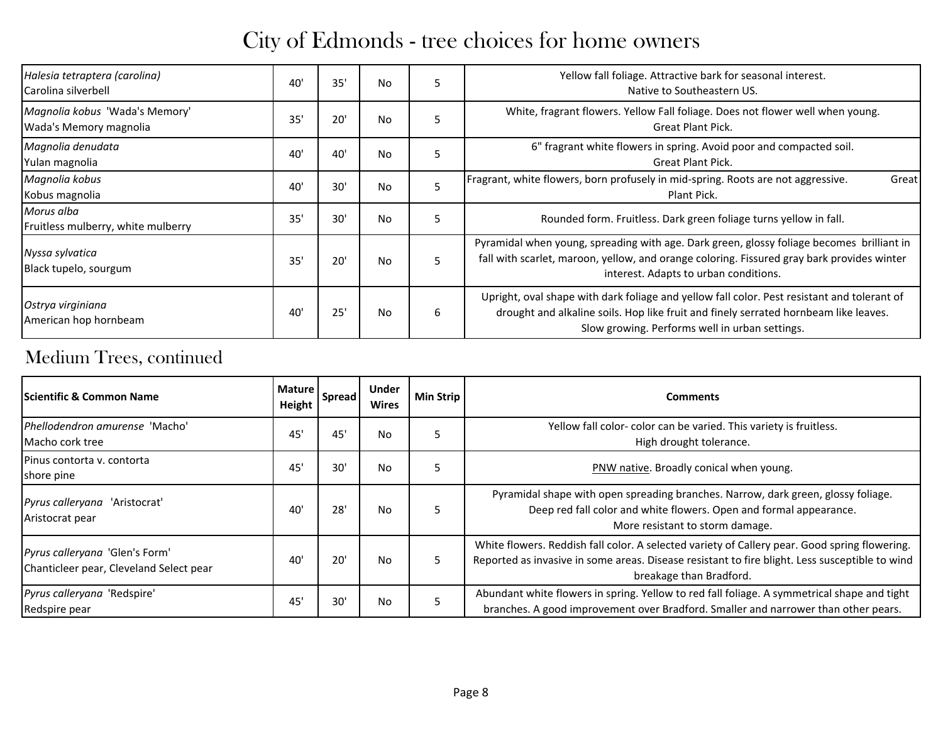| Halesia tetraptera (carolina)<br>Carolina silverbell     | 40' | 35' | <b>No</b> | 5 | Yellow fall foliage. Attractive bark for seasonal interest.<br>Native to Southeastern US.                                                                                                                                             |
|----------------------------------------------------------|-----|-----|-----------|---|---------------------------------------------------------------------------------------------------------------------------------------------------------------------------------------------------------------------------------------|
| Magnolia kobus 'Wada's Memory'<br>Wada's Memory magnolia | 35  | 20' | <b>No</b> | 5 | White, fragrant flowers. Yellow Fall foliage. Does not flower well when young.<br><b>Great Plant Pick.</b>                                                                                                                            |
| Magnolia denudata<br>Yulan magnolia                      | 40' | 40' | <b>No</b> | 5 | 6" fragrant white flowers in spring. Avoid poor and compacted soil.<br><b>Great Plant Pick.</b>                                                                                                                                       |
| Magnolia kobus<br>Kobus magnolia                         | 40' | 30' | No        | 5 | Fragrant, white flowers, born profusely in mid-spring. Roots are not aggressive.<br>Great<br>Plant Pick.                                                                                                                              |
| Morus alba<br>Fruitless mulberry, white mulberry         | 35  | 30' | No        | 5 | Rounded form. Fruitless. Dark green foliage turns yellow in fall.                                                                                                                                                                     |
| Nyssa sylvatica<br>Black tupelo, sourgum                 | 35  | 20' | No        | 5 | Pyramidal when young, spreading with age. Dark green, glossy foliage becomes brilliant in<br>fall with scarlet, maroon, yellow, and orange coloring. Fissured gray bark provides winter<br>interest. Adapts to urban conditions.      |
| Ostrya virginiana<br>American hop hornbeam               | 40  | 25' | No        | 6 | Upright, oval shape with dark foliage and yellow fall color. Pest resistant and tolerant of<br>drought and alkaline soils. Hop like fruit and finely serrated hornbeam like leaves.<br>Slow growing. Performs well in urban settings. |

### Medium Trees, continued

| <b>IScientific &amp; Common Name</b>                                      | <b>Mature</b><br>Height | <b>Spread</b> | Under<br><b>Wires</b> | Min Strip | Comments                                                                                                                                                                                                                   |
|---------------------------------------------------------------------------|-------------------------|---------------|-----------------------|-----------|----------------------------------------------------------------------------------------------------------------------------------------------------------------------------------------------------------------------------|
| Phellodendron amurense 'Macho'<br>Macho cork tree                         | 45                      | 45'           | No                    | 5         | Yellow fall color-color can be varied. This variety is fruitless.<br>High drought tolerance.                                                                                                                               |
| Pinus contorta y. contorta<br>shore pine                                  | 45                      | 30'           | No                    | 5         | PNW native. Broadly conical when young.                                                                                                                                                                                    |
| Pyrus calleryana 'Aristocrat'<br>Aristocrat pear                          | 40                      | 28'           | No                    | 5         | Pyramidal shape with open spreading branches. Narrow, dark green, glossy foliage.<br>Deep red fall color and white flowers. Open and formal appearance.<br>More resistant to storm damage.                                 |
| Pyrus calleryana 'Glen's Form'<br>Chanticleer pear, Cleveland Select pear | 40                      | 20'           | No                    | 5         | White flowers. Reddish fall color. A selected variety of Callery pear. Good spring flowering.<br>Reported as invasive in some areas. Disease resistant to fire blight. Less susceptible to wind<br>breakage than Bradford. |
| Pyrus calleryana 'Redspire'<br>Redspire pear                              | 45                      | 30'           | No                    | 5         | Abundant white flowers in spring. Yellow to red fall foliage. A symmetrical shape and tight<br>branches. A good improvement over Bradford. Smaller and narrower than other pears.                                          |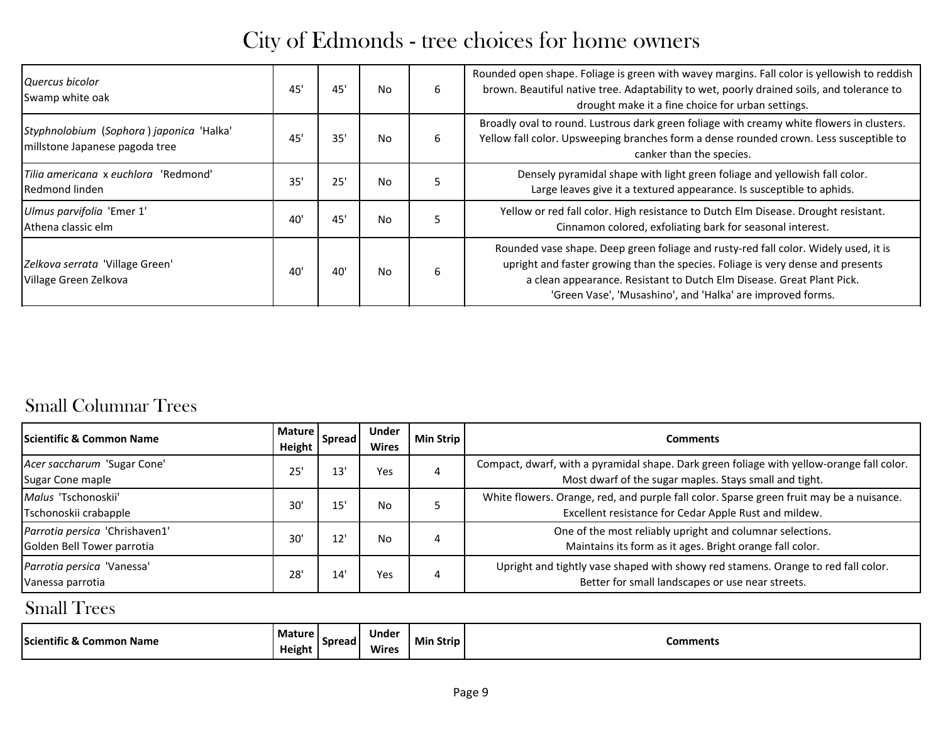| Quercus bicolor<br>Swamp white oak                                         | 45' | 45' | No.       | 6 | Rounded open shape. Foliage is green with wavey margins. Fall color is yellowish to reddish<br>brown. Beautiful native tree. Adaptability to wet, poorly drained soils, and tolerance to<br>drought make it a fine choice for urban settings.                                                                 |
|----------------------------------------------------------------------------|-----|-----|-----------|---|---------------------------------------------------------------------------------------------------------------------------------------------------------------------------------------------------------------------------------------------------------------------------------------------------------------|
| Styphnolobium (Sophora) japonica 'Halka'<br>millstone Japanese pagoda tree | 45  | 35' | No        | 6 | Broadly oval to round. Lustrous dark green foliage with creamy white flowers in clusters.<br>Yellow fall color. Upsweeping branches form a dense rounded crown. Less susceptible to<br>canker than the species.                                                                                               |
| Tilia americana x euchlora 'Redmond'<br>Redmond linden                     | 35' | 25' | <b>No</b> | 5 | Densely pyramidal shape with light green foliage and yellowish fall color.<br>Large leaves give it a textured appearance. Is susceptible to aphids.                                                                                                                                                           |
| Ulmus parvifolia 'Emer 1'<br>Athena classic elm                            | 40  | 45' | No.       | 5 | Yellow or red fall color. High resistance to Dutch Elm Disease. Drought resistant.<br>Cinnamon colored, exfoliating bark for seasonal interest.                                                                                                                                                               |
| Zelkova serrata 'Village Green'<br>Village Green Zelkova                   | 40  | 40' | No        | 6 | Rounded vase shape. Deep green foliage and rusty-red fall color. Widely used, it is<br>upright and faster growing than the species. Foliage is very dense and presents<br>a clean appearance. Resistant to Dutch Elm Disease. Great Plant Pick.<br>'Green Vase', 'Musashino', and 'Halka' are improved forms. |

#### Small Columnar Trees

| <b>Scientific &amp; Common Name</b>                          | Mature  <br>Height | <b>Spread</b> | Under<br><b>Wires</b> | Min Strip | Comments                                                                                                                                            |
|--------------------------------------------------------------|--------------------|---------------|-----------------------|-----------|-----------------------------------------------------------------------------------------------------------------------------------------------------|
| Acer saccharum 'Sugar Cone'<br>Sugar Cone maple              | 25                 | 13            | Yes                   | 4         | Compact, dwarf, with a pyramidal shape. Dark green foliage with yellow-orange fall color.<br>Most dwarf of the sugar maples. Stays small and tight. |
| Malus 'Tschonoskii'<br>Tschonoskii crabapple                 | 30'                | 15            | No.                   |           | White flowers. Orange, red, and purple fall color. Sparse green fruit may be a nuisance.<br>Excellent resistance for Cedar Apple Rust and mildew.   |
| Parrotia persica 'Chrishaven1'<br>Golden Bell Tower parrotia | 30'                | $12^{\circ}$  | No.                   | 4         | One of the most reliably upright and columnar selections.<br>Maintains its form as it ages. Bright orange fall color.                               |
| Parrotia persica 'Vanessa'<br>Vanessa parrotia               | 28'                | 14            | Yes                   | 4         | Upright and tightly vase shaped with showy red stamens. Orange to red fall color.<br>Better for small landscapes or use near streets.               |

#### Small Trees

| - - - -<br>Scientific.<br><b>Common Name</b> | <b>Mature</b><br>Height | <b>Spread</b> | Under<br>Wires | . Strip<br>- IVIII. | <b>Comments</b> |
|----------------------------------------------|-------------------------|---------------|----------------|---------------------|-----------------|
|----------------------------------------------|-------------------------|---------------|----------------|---------------------|-----------------|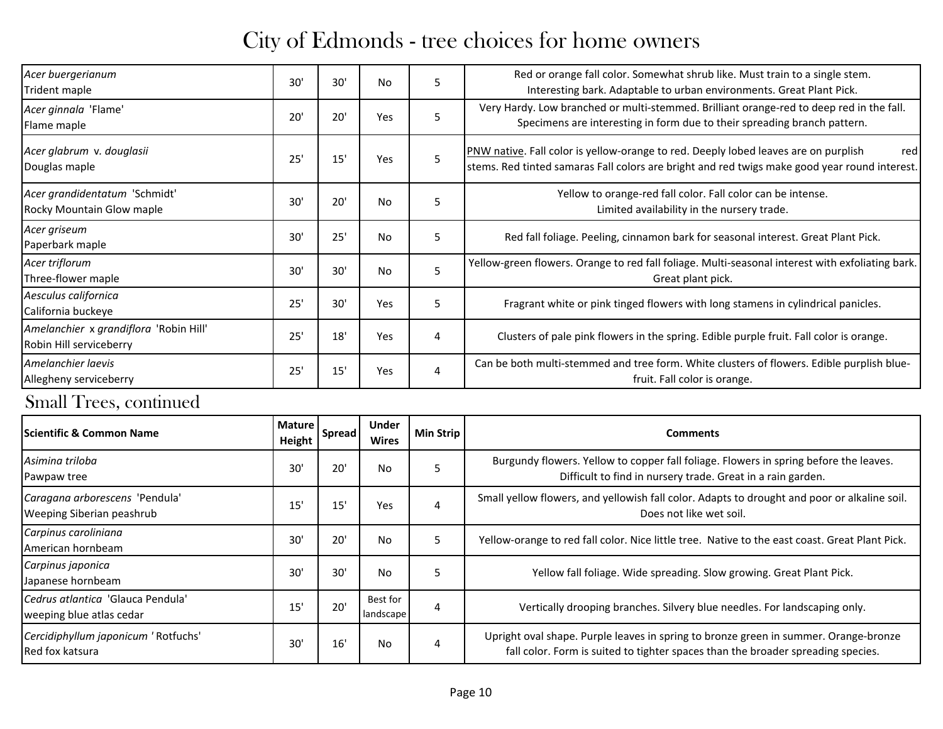| Acer buergerianum<br>Trident maple                                | 30' | 30' | No        | 5 | Red or orange fall color. Somewhat shrub like. Must train to a single stem.<br>Interesting bark. Adaptable to urban environments. Great Plant Pick.                                         |
|-------------------------------------------------------------------|-----|-----|-----------|---|---------------------------------------------------------------------------------------------------------------------------------------------------------------------------------------------|
| Acer ginnala 'Flame'<br>Flame maple                               | 20' | 20' | Yes       | 5 | Very Hardy. Low branched or multi-stemmed. Brilliant orange-red to deep red in the fall.<br>Specimens are interesting in form due to their spreading branch pattern.                        |
| Acer glabrum v. douglasii<br>Douglas maple                        | 25' | 15' | Yes       | 5 | PNW native. Fall color is yellow-orange to red. Deeply lobed leaves are on purplish<br>red<br>stems. Red tinted samaras Fall colors are bright and red twigs make good year round interest. |
| Acer grandidentatum 'Schmidt'<br>Rocky Mountain Glow maple        | 30' | 20' | No        | 5 | Yellow to orange-red fall color. Fall color can be intense.<br>Limited availability in the nursery trade.                                                                                   |
| Acer griseum<br>Paperbark maple                                   | 30' | 25' | No        | 5 | Red fall foliage. Peeling, cinnamon bark for seasonal interest. Great Plant Pick.                                                                                                           |
| Acer triflorum<br>Three-flower maple                              | 30' | 30' | <b>No</b> | 5 | Yellow-green flowers. Orange to red fall foliage. Multi-seasonal interest with exfoliating bark.<br>Great plant pick.                                                                       |
| Aesculus californica<br>California buckeye                        | 25' | 30' | Yes       | 5 | Fragrant white or pink tinged flowers with long stamens in cylindrical panicles.                                                                                                            |
| Amelanchier x grandiflora 'Robin Hill'<br>Robin Hill serviceberry | 25' | 18' | Yes       | 4 | Clusters of pale pink flowers in the spring. Edible purple fruit. Fall color is orange.                                                                                                     |
| Amelanchier laevis<br>Allegheny serviceberry                      | 25' | 15' | Yes       | 4 | Can be both multi-stemmed and tree form. White clusters of flowers. Edible purplish blue-<br>fruit. Fall color is orange.                                                                   |

| <b>IScientific &amp; Common Name</b>                          | <b>Mature</b><br>Height | Spread | Under<br><b>Wires</b> | Min Strip | <b>Comments</b>                                                                                                                                                          |
|---------------------------------------------------------------|-------------------------|--------|-----------------------|-----------|--------------------------------------------------------------------------------------------------------------------------------------------------------------------------|
| Asimina triloba<br>Pawpaw tree                                | 30                      | 20'    | No.                   | 5         | Burgundy flowers. Yellow to copper fall foliage. Flowers in spring before the leaves.<br>Difficult to find in nursery trade. Great in a rain garden.                     |
| Caragana arborescens 'Pendula'<br>Weeping Siberian peashrub   | 15                      | 15     | Yes                   | 4         | Small yellow flowers, and yellowish fall color. Adapts to drought and poor or alkaline soil.<br>Does not like wet soil.                                                  |
| Carpinus caroliniana<br>American hornbeam                     | 30                      | 20'    | No.                   | 5         | Yellow-orange to red fall color. Nice little tree. Native to the east coast. Great Plant Pick.                                                                           |
| Carpinus japonica<br>Japanese hornbeam                        | 30'                     | 30'    | No.                   | 5         | Yellow fall foliage. Wide spreading. Slow growing. Great Plant Pick.                                                                                                     |
| Cedrus atlantica 'Glauca Pendula'<br>weeping blue atlas cedar | 15                      | 20'    | Best for<br>landscape | 4         | Vertically drooping branches. Silvery blue needles. For landscaping only.                                                                                                |
| Cercidiphyllum japonicum ' Rotfuchs'<br>Red fox katsura       | 30                      | 16'    | No.                   | 4         | Upright oval shape. Purple leaves in spring to bronze green in summer. Orange-bronze<br>fall color. Form is suited to tighter spaces than the broader spreading species. |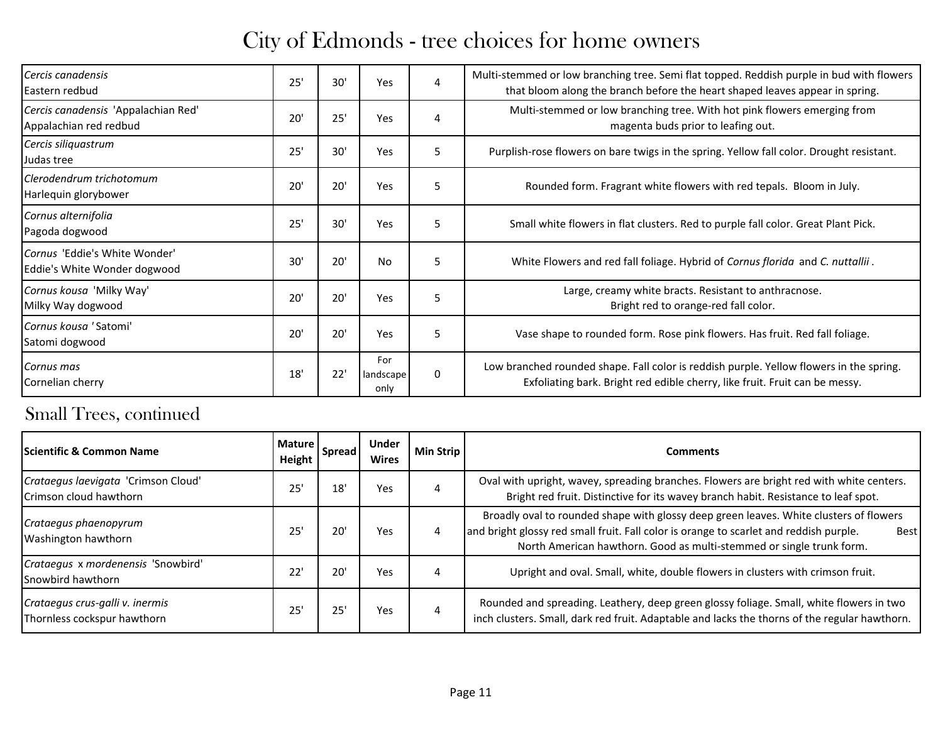| Cercis canadensis<br>Eastern redbud                           | 25' | 30' | Yes                      | 4 | Multi-stemmed or low branching tree. Semi flat topped. Reddish purple in bud with flowers<br>that bloom along the branch before the heart shaped leaves appear in spring. |
|---------------------------------------------------------------|-----|-----|--------------------------|---|---------------------------------------------------------------------------------------------------------------------------------------------------------------------------|
| Cercis canadensis 'Appalachian Red'<br>Appalachian red redbud | 20' | 25' | Yes                      | 4 | Multi-stemmed or low branching tree. With hot pink flowers emerging from<br>magenta buds prior to leafing out.                                                            |
| Cercis siliquastrum<br>Judas tree                             | 25' | 30' | Yes                      | 5 | Purplish-rose flowers on bare twigs in the spring. Yellow fall color. Drought resistant.                                                                                  |
| Clerodendrum trichotomum<br>Harlequin glorybower              | 20' | 20' | Yes                      | 5 | Rounded form. Fragrant white flowers with red tepals. Bloom in July.                                                                                                      |
| Cornus alternifolia<br>Pagoda dogwood                         | 25' | 30' | Yes                      | 5 | Small white flowers in flat clusters. Red to purple fall color. Great Plant Pick.                                                                                         |
| Cornus 'Eddie's White Wonder'<br>Eddie's White Wonder dogwood | 30' | 20' | <b>No</b>                | 5 | White Flowers and red fall foliage. Hybrid of Cornus florida and C. nuttallii.                                                                                            |
| Cornus kousa 'Milky Way'<br>Milky Way dogwood                 | 20' | 20' | Yes                      | 5 | Large, creamy white bracts. Resistant to anthracnose.<br>Bright red to orange-red fall color.                                                                             |
| Cornus kousa 'Satomi'<br>Satomi dogwood                       | 20' | 20' | Yes                      | 5 | Vase shape to rounded form. Rose pink flowers. Has fruit. Red fall foliage.                                                                                               |
| Cornus mas<br>Cornelian cherry                                | 18' | 22' | For<br>landscape<br>only | 0 | Low branched rounded shape. Fall color is reddish purple. Yellow flowers in the spring.<br>Exfoliating bark. Bright red edible cherry, like fruit. Fruit can be messy.    |

| <b>Scientific &amp; Common Name</b>                            | <b>Mature</b><br>Height | Spread | <b>Under</b><br><b>Wires</b> | Min Strip | Comments                                                                                                                                                                                                                                                                |
|----------------------------------------------------------------|-------------------------|--------|------------------------------|-----------|-------------------------------------------------------------------------------------------------------------------------------------------------------------------------------------------------------------------------------------------------------------------------|
| Crataegus laevigata 'Crimson Cloud'<br>Crimson cloud hawthorn  | 25                      | 18'    | Yes                          | 4         | Oval with upright, wavey, spreading branches. Flowers are bright red with white centers.<br>Bright red fruit. Distinctive for its wavey branch habit. Resistance to leaf spot.                                                                                          |
| Crataegus phaenopyrum<br>Washington hawthorn                   | 25                      | 20'    | Yes                          | 4         | Broadly oval to rounded shape with glossy deep green leaves. White clusters of flowers<br>and bright glossy red small fruit. Fall color is orange to scarlet and reddish purple.<br><b>Best</b><br>North American hawthorn. Good as multi-stemmed or single trunk form. |
| Crataegus x mordenensis 'Snowbird'<br>Snowbird hawthorn        | 22                      | 20'    | Yes                          | 4         | Upright and oval. Small, white, double flowers in clusters with crimson fruit.                                                                                                                                                                                          |
| Crataegus crus-galli v. inermis<br>Thornless cockspur hawthorn | 25                      | 25'    | Yes                          | 4         | Rounded and spreading. Leathery, deep green glossy foliage. Small, white flowers in two<br>inch clusters. Small, dark red fruit. Adaptable and lacks the thorns of the regular hawthorn.                                                                                |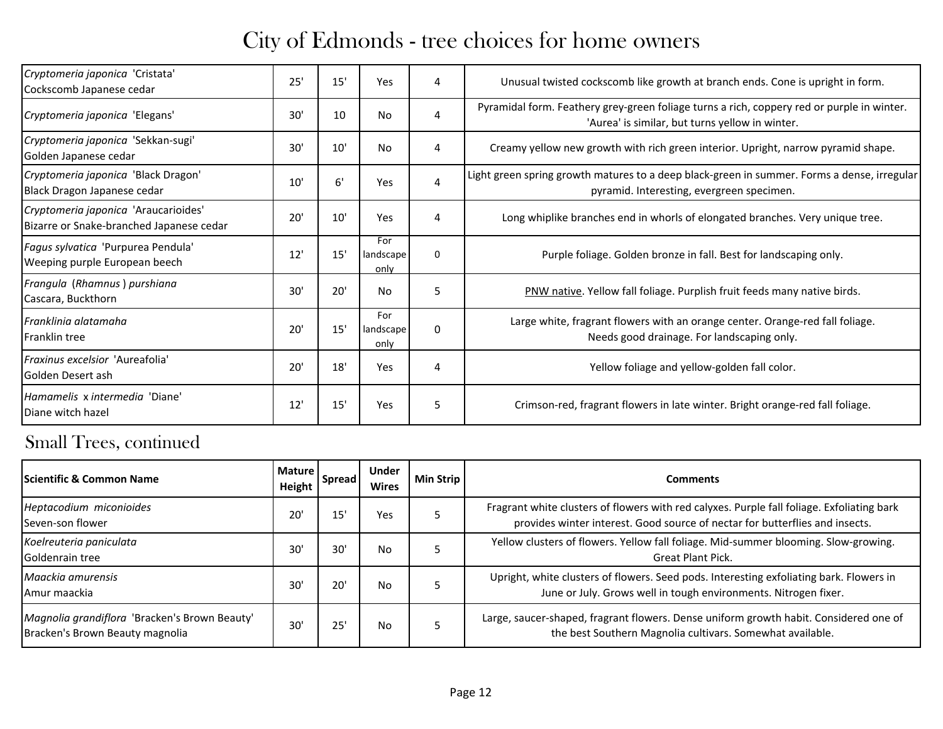| Cryptomeria japonica 'Cristata'<br>Cockscomb Japanese cedar                      | 25' | 15' | Yes                      | 4            | Unusual twisted cockscomb like growth at branch ends. Cone is upright in form.                                                                |
|----------------------------------------------------------------------------------|-----|-----|--------------------------|--------------|-----------------------------------------------------------------------------------------------------------------------------------------------|
| Cryptomeria japonica 'Elegans'                                                   | 30' | 10  | No                       | 4            | Pyramidal form. Feathery grey-green foliage turns a rich, coppery red or purple in winter.<br>'Aurea' is similar, but turns yellow in winter. |
| Cryptomeria japonica 'Sekkan-sugi'<br>Golden Japanese cedar                      | 30' | 10' | No                       | 4            | Creamy yellow new growth with rich green interior. Upright, narrow pyramid shape.                                                             |
| Cryptomeria japonica 'Black Dragon'<br>Black Dragon Japanese cedar               | 10' | 6'  | Yes                      | 4            | Light green spring growth matures to a deep black-green in summer. Forms a dense, irregular<br>pyramid. Interesting, evergreen specimen.      |
| Cryptomeria japonica 'Araucarioides'<br>Bizarre or Snake-branched Japanese cedar | 20' | 10' | Yes                      | 4            | Long whiplike branches end in whorls of elongated branches. Very unique tree.                                                                 |
| Fagus sylvatica 'Purpurea Pendula'<br>Weeping purple European beech              | 12' | 15' | For<br>landscape<br>only | $\mathbf 0$  | Purple foliage. Golden bronze in fall. Best for landscaping only.                                                                             |
| Frangula (Rhamnus) purshiana<br>Cascara, Buckthorn                               | 30' | 20' | No                       | 5            | PNW native. Yellow fall foliage. Purplish fruit feeds many native birds.                                                                      |
| Franklinia alatamaha<br><b>IFranklin tree</b>                                    | 20' | 15' | For<br>landscape<br>only | $\mathbf{0}$ | Large white, fragrant flowers with an orange center. Orange-red fall foliage.<br>Needs good drainage. For landscaping only.                   |
| Fraxinus excelsior 'Aureafolia'<br>Golden Desert ash                             | 20' | 18' | Yes                      | 4            | Yellow foliage and yellow-golden fall color.                                                                                                  |
| Hamamelis x intermedia 'Diane'<br>Diane witch hazel                              | 12' | 15' | Yes                      | 5            | Crimson-red, fragrant flowers in late winter. Bright orange-red fall foliage.                                                                 |

| <b>Scientific &amp; Common Name</b>                                              | <b>Mature</b><br>Height | Spread       | <b>Under</b><br><b>Wires</b> | Min Strip | <b>Comments</b>                                                                                                                                                            |
|----------------------------------------------------------------------------------|-------------------------|--------------|------------------------------|-----------|----------------------------------------------------------------------------------------------------------------------------------------------------------------------------|
| Heptacodium miconioides<br>Seven-son flower                                      | 20                      | 15'          | Yes                          |           | Fragrant white clusters of flowers with red calyxes. Purple fall foliage. Exfoliating bark<br>provides winter interest. Good source of nectar for butterflies and insects. |
| Koelreuteria paniculata<br><b>Goldenrain tree</b>                                | 30                      | 30'          | No                           |           | Yellow clusters of flowers. Yellow fall foliage. Mid-summer blooming. Slow-growing.<br><b>Great Plant Pick.</b>                                                            |
| Maackia amurensis<br>LAmur maackia                                               | 30                      | $20^{\circ}$ | No                           |           | Upright, white clusters of flowers. Seed pods. Interesting exfoliating bark. Flowers in<br>June or July. Grows well in tough environments. Nitrogen fixer.                 |
| Magnolia grandiflora 'Bracken's Brown Beauty'<br>Bracken's Brown Beauty magnolia | 30'                     | 25'          | No                           |           | Large, saucer-shaped, fragrant flowers. Dense uniform growth habit. Considered one of<br>the best Southern Magnolia cultivars. Somewhat available.                         |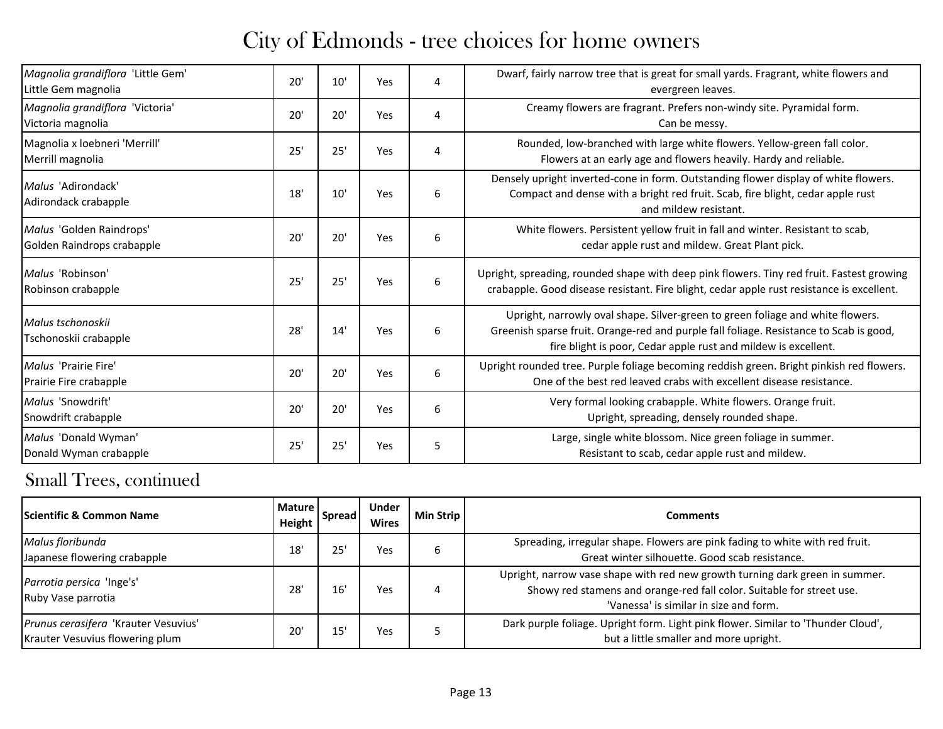| Magnolia grandiflora 'Little Gem'<br>Little Gem magnolia | 20' | 10' | Yes | 4 | Dwarf, fairly narrow tree that is great for small yards. Fragrant, white flowers and<br>evergreen leaves.                                                                                                                                  |
|----------------------------------------------------------|-----|-----|-----|---|--------------------------------------------------------------------------------------------------------------------------------------------------------------------------------------------------------------------------------------------|
| Magnolia grandiflora 'Victoria'<br>Victoria magnolia     | 20' | 20' | Yes | 4 | Creamy flowers are fragrant. Prefers non-windy site. Pyramidal form.<br>Can be messy.                                                                                                                                                      |
| Magnolia x loebneri 'Merrill'<br>Merrill magnolia        | 25' | 25' | Yes | 4 | Rounded, low-branched with large white flowers. Yellow-green fall color.<br>Flowers at an early age and flowers heavily. Hardy and reliable.                                                                                               |
| Malus 'Adirondack'<br>Adirondack crabapple               | 18' | 10' | Yes | 6 | Densely upright inverted-cone in form. Outstanding flower display of white flowers.<br>Compact and dense with a bright red fruit. Scab, fire blight, cedar apple rust<br>and mildew resistant.                                             |
| Malus 'Golden Raindrops'<br>Golden Raindrops crabapple   | 20' | 20' | Yes | 6 | White flowers. Persistent yellow fruit in fall and winter. Resistant to scab,<br>cedar apple rust and mildew. Great Plant pick.                                                                                                            |
| Malus 'Robinson'<br>Robinson crabapple                   | 25' | 25' | Yes | 6 | Upright, spreading, rounded shape with deep pink flowers. Tiny red fruit. Fastest growing<br>crabapple. Good disease resistant. Fire blight, cedar apple rust resistance is excellent.                                                     |
| Malus tschonoskii<br>Tschonoskii crabapple               | 28' | 14' | Yes | 6 | Upright, narrowly oval shape. Silver-green to green foliage and white flowers.<br>Greenish sparse fruit. Orange-red and purple fall foliage. Resistance to Scab is good,<br>fire blight is poor, Cedar apple rust and mildew is excellent. |
| Malus 'Prairie Fire'<br>Prairie Fire crabapple           | 20' | 20' | Yes | 6 | Upright rounded tree. Purple foliage becoming reddish green. Bright pinkish red flowers.<br>One of the best red leaved crabs with excellent disease resistance.                                                                            |
| Malus 'Snowdrift'<br>Snowdrift crabapple                 | 20' | 20' | Yes | 6 | Very formal looking crabapple. White flowers. Orange fruit.<br>Upright, spreading, densely rounded shape.                                                                                                                                  |
| Malus 'Donald Wyman'<br>Donald Wyman crabapple           | 25' | 25' | Yes | 5 | Large, single white blossom. Nice green foliage in summer.<br>Resistant to scab, cedar apple rust and mildew.                                                                                                                              |

| <b>Scientific &amp; Common Name</b>                                     | <b>Mature</b><br>Height | <b>Spread</b> | <b>Under</b><br><b>Wires</b> | Min Strip | Comments                                                                                                                                                                                        |
|-------------------------------------------------------------------------|-------------------------|---------------|------------------------------|-----------|-------------------------------------------------------------------------------------------------------------------------------------------------------------------------------------------------|
| Malus floribunda<br>Japanese flowering crabapple                        | 18                      | 25'           | Yes                          | b         | Spreading, irregular shape. Flowers are pink fading to white with red fruit.<br>Great winter silhouette. Good scab resistance.                                                                  |
| Parrotia persica 'Inge's'<br>Ruby Vase parrotia                         | 28                      | 16'           | Yes                          | 4         | Upright, narrow vase shape with red new growth turning dark green in summer.<br>Showy red stamens and orange-red fall color. Suitable for street use.<br>'Vanessa' is similar in size and form. |
| Prunus cerasifera 'Krauter Vesuvius'<br>Krauter Vesuvius flowering plum | 20                      | 15'           | Yes                          |           | Dark purple foliage. Upright form. Light pink flower. Similar to 'Thunder Cloud',<br>but a little smaller and more upright.                                                                     |